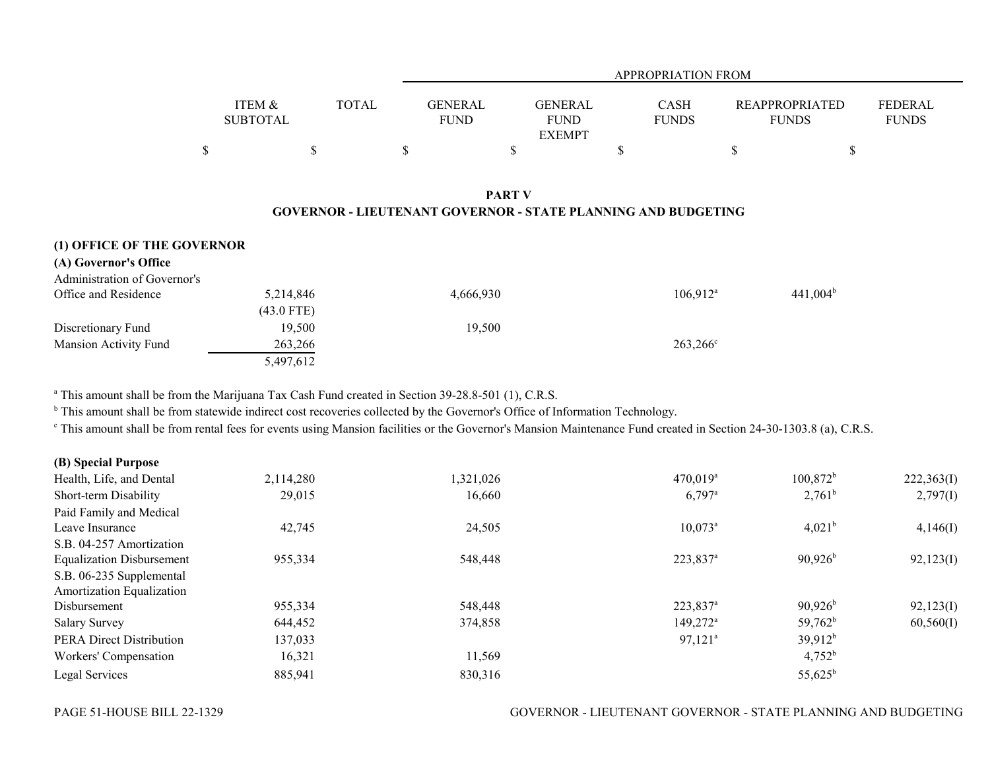|                              |                           |              | <b>APPROPRIATION FROM</b>     |                                                                                       |                             |                                       |                                |  |  |  |  |
|------------------------------|---------------------------|--------------|-------------------------------|---------------------------------------------------------------------------------------|-----------------------------|---------------------------------------|--------------------------------|--|--|--|--|
|                              | ITEM &<br><b>SUBTOTAL</b> | <b>TOTAL</b> | <b>GENERAL</b><br><b>FUND</b> | <b>GENERAL</b><br><b>FUND</b><br><b>EXEMPT</b>                                        | <b>CASH</b><br><b>FUNDS</b> | <b>REAPPROPRIATED</b><br><b>FUNDS</b> | <b>FEDERAL</b><br><b>FUNDS</b> |  |  |  |  |
|                              | \$                        | \$           | \$                            | \$                                                                                    | \$                          | \$                                    | \$                             |  |  |  |  |
| (1) OFFICE OF THE GOVERNOR   |                           |              |                               | <b>PART V</b><br><b>GOVERNOR - LIEUTENANT GOVERNOR - STATE PLANNING AND BUDGETING</b> |                             |                                       |                                |  |  |  |  |
| (A) Governor's Office        |                           |              |                               |                                                                                       |                             |                                       |                                |  |  |  |  |
| Administration of Governor's |                           |              |                               |                                                                                       |                             |                                       |                                |  |  |  |  |
| Office and Residence         | 5,214,846<br>$(43.0$ FTE) |              | 4,666,930                     |                                                                                       | $106,912$ <sup>a</sup>      | $441,004^b$                           |                                |  |  |  |  |
| Discretionary Fund           | 19,500                    |              | 19,500                        |                                                                                       |                             |                                       |                                |  |  |  |  |
| Mansion Activity Fund        | 263,266                   |              |                               |                                                                                       | $263,266^{\circ}$           |                                       |                                |  |  |  |  |
|                              | 5,497,612                 |              |                               |                                                                                       |                             |                                       |                                |  |  |  |  |

<sup>a</sup> This amount shall be from the Marijuana Tax Cash Fund created in Section 39-28.8-501 (1), C.R.S.

<sup>b</sup> This amount shall be from statewide indirect cost recoveries collected by the Governor's Office of Information Technology.

c This amount shall be from rental fees for events using Mansion facilities or the Governor's Mansion Maintenance Fund created in Section 24-30-1303.8 (a), C.R.S.

| (B) Special Purpose              |           |           |                        |                     |            |
|----------------------------------|-----------|-----------|------------------------|---------------------|------------|
| Health, Life, and Dental         | 2,114,280 | 1,321,026 | $470,019$ <sup>a</sup> | $100,872^b$         | 222,363(I) |
| Short-term Disability            | 29,015    | 16,660    | $6,797$ <sup>a</sup>   | $2,761^b$           | 2,797(I)   |
| Paid Family and Medical          |           |           |                        |                     |            |
| Leave Insurance                  | 42,745    | 24,505    | $10,073^{\circ}$       | $4,021^{\rm b}$     | 4,146(I)   |
| S.B. 04-257 Amortization         |           |           |                        |                     |            |
| <b>Equalization Disbursement</b> | 955,334   | 548,448   | 223,837 <sup>a</sup>   | $90,926^{\rm b}$    | 92,123(I)  |
| S.B. 06-235 Supplemental         |           |           |                        |                     |            |
| Amortization Equalization        |           |           |                        |                     |            |
| Disbursement                     | 955,334   | 548,448   | 223,837 <sup>a</sup>   | $90,926^{\rm b}$    | 92,123(I)  |
| <b>Salary Survey</b>             | 644,452   | 374,858   | $149,272^{\circ}$      | $59,762^b$          | 60,560(I)  |
| <b>PERA Direct Distribution</b>  | 137,033   |           | $97,121$ <sup>a</sup>  | 39,912 <sup>b</sup> |            |
| Workers' Compensation            | 16,321    | 11,569    |                        | $4,752^b$           |            |
| Legal Services                   | 885,941   | 830,316   |                        | $55,625^{\rm b}$    |            |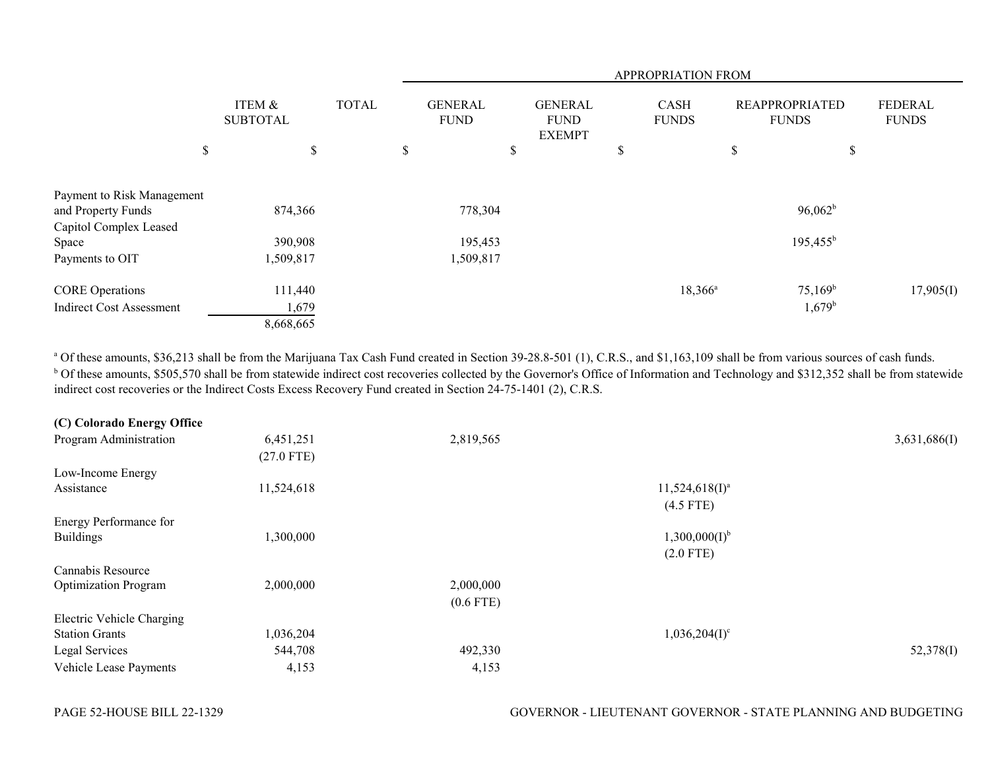|                                 |                           | APPROPRIATION FROM |    |                               |    |                                                |                           |                      |    |                                       |                                |
|---------------------------------|---------------------------|--------------------|----|-------------------------------|----|------------------------------------------------|---------------------------|----------------------|----|---------------------------------------|--------------------------------|
|                                 | ITEM &<br><b>SUBTOTAL</b> | <b>TOTAL</b>       |    | <b>GENERAL</b><br><b>FUND</b> |    | <b>GENERAL</b><br><b>FUND</b><br><b>EXEMPT</b> |                           | CASH<br><b>FUNDS</b> |    | <b>REAPPROPRIATED</b><br><b>FUNDS</b> | <b>FEDERAL</b><br><b>FUNDS</b> |
| \$                              | \$                        |                    | \$ |                               | \$ |                                                | $\boldsymbol{\mathsf{S}}$ |                      | \$ | $\boldsymbol{\mathsf{S}}$             |                                |
| Payment to Risk Management      |                           |                    |    |                               |    |                                                |                           |                      |    |                                       |                                |
| and Property Funds              | 874,366                   |                    |    | 778,304                       |    |                                                |                           |                      |    | $96,062^b$                            |                                |
| Capitol Complex Leased          |                           |                    |    |                               |    |                                                |                           |                      |    |                                       |                                |
| Space                           | 390,908                   |                    |    | 195,453                       |    |                                                |                           |                      |    | $195,455^b$                           |                                |
| Payments to OIT                 | 1,509,817                 |                    |    | 1,509,817                     |    |                                                |                           |                      |    |                                       |                                |
| <b>CORE</b> Operations          | 111,440                   |                    |    |                               |    |                                                |                           | $18,366^{\circ}$     |    | $75,169^b$                            | 17,905(I)                      |
| <b>Indirect Cost Assessment</b> | 1,679                     |                    |    |                               |    |                                                |                           |                      |    | $1,679^{\rm b}$                       |                                |
|                                 | 8,668,665                 |                    |    |                               |    |                                                |                           |                      |    |                                       |                                |

<sup>a</sup> Of these amounts, \$36,213 shall be from the Marijuana Tax Cash Fund created in Section 39-28.8-501 (1), C.R.S., and \$1,163,109 shall be from various sources of cash funds. <sup>b</sup> Of these amounts, \$505,570 shall be from statewide indirect cost recoveries collected by the Governor's Office of Information and Technology and \$312,352 shall be from statewide indirect cost recoveries or the Indirect Costs Excess Recovery Fund created in Section 24-75-1401 (2), C.R.S.

| (C) Colorado Energy Office  |              |             |                    |              |
|-----------------------------|--------------|-------------|--------------------|--------------|
| Program Administration      | 6,451,251    | 2,819,565   |                    | 3,631,686(I) |
|                             | $(27.0$ FTE) |             |                    |              |
| Low-Income Energy           |              |             |                    |              |
| Assistance                  | 11,524,618   |             | $11,524,618(I)^a$  |              |
|                             |              |             | $(4.5$ FTE)        |              |
| Energy Performance for      |              |             |                    |              |
| <b>Buildings</b>            | 1,300,000    |             | $1,300,000(I)^{b}$ |              |
|                             |              |             | $(2.0$ FTE)        |              |
| Cannabis Resource           |              |             |                    |              |
| <b>Optimization Program</b> | 2,000,000    | 2,000,000   |                    |              |
|                             |              | $(0.6$ FTE) |                    |              |
| Electric Vehicle Charging   |              |             |                    |              |
| <b>Station Grants</b>       | 1,036,204    |             | $1,036,204(I)^c$   |              |
| Legal Services              | 544,708      | 492,330     |                    | 52,378(I)    |
| Vehicle Lease Payments      | 4,153        | 4,153       |                    |              |
|                             |              |             |                    |              |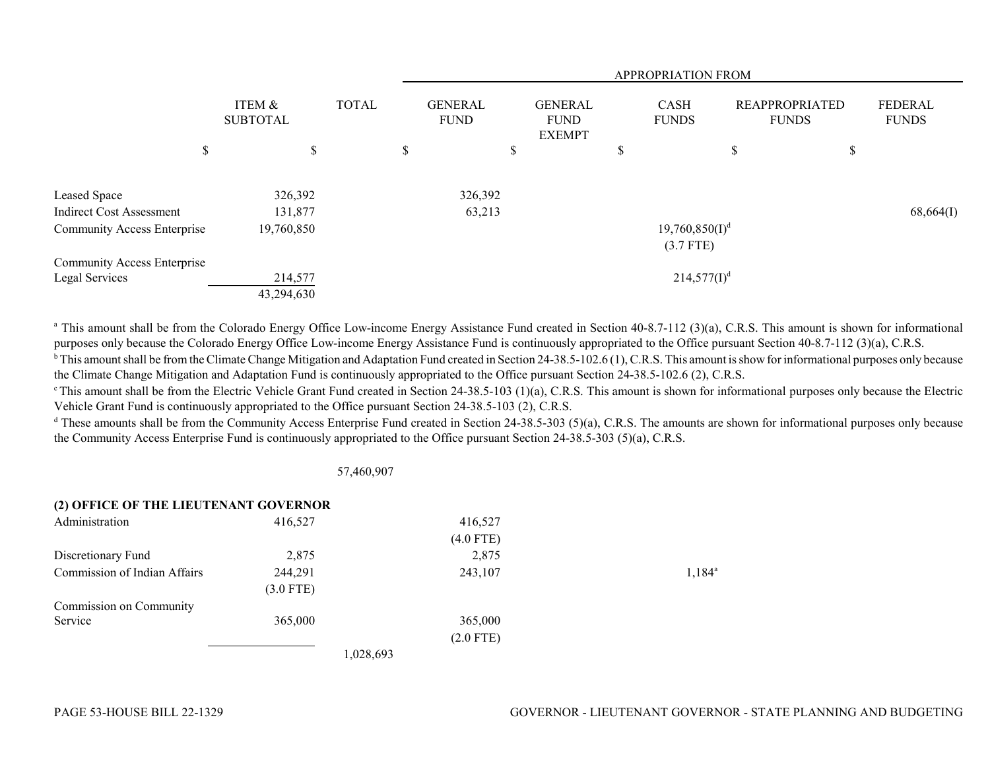|                                    |                           |              | APPROPRIATION FROM |                               |                                                |   |                             |                                       |    |                                |  |  |
|------------------------------------|---------------------------|--------------|--------------------|-------------------------------|------------------------------------------------|---|-----------------------------|---------------------------------------|----|--------------------------------|--|--|
|                                    | ITEM &<br><b>SUBTOTAL</b> | <b>TOTAL</b> |                    | <b>GENERAL</b><br><b>FUND</b> | <b>GENERAL</b><br><b>FUND</b><br><b>EXEMPT</b> |   | <b>CASH</b><br><b>FUNDS</b> | <b>REAPPROPRIATED</b><br><b>FUNDS</b> |    | <b>FEDERAL</b><br><b>FUNDS</b> |  |  |
| \$                                 | \$                        |              | \$                 | \$                            |                                                | D |                             | \$                                    | \$ |                                |  |  |
| Leased Space                       | 326,392                   |              |                    | 326,392                       |                                                |   |                             |                                       |    |                                |  |  |
| Indirect Cost Assessment           | 131,877                   |              |                    | 63,213                        |                                                |   |                             |                                       |    | 68,664(I)                      |  |  |
| Community Access Enterprise        | 19,760,850                |              |                    |                               |                                                |   | $19,760,850(I)^d$           |                                       |    |                                |  |  |
|                                    |                           |              |                    |                               |                                                |   | $(3.7$ FTE)                 |                                       |    |                                |  |  |
| <b>Community Access Enterprise</b> |                           |              |                    |                               |                                                |   |                             |                                       |    |                                |  |  |
| Legal Services                     | 214,577                   |              |                    |                               |                                                |   | $214,577(I)^d$              |                                       |    |                                |  |  |
|                                    | 43,294,630                |              |                    |                               |                                                |   |                             |                                       |    |                                |  |  |

<sup>a</sup> This amount shall be from the Colorado Energy Office Low-income Energy Assistance Fund created in Section 40-8.7-112 (3)(a), C.R.S. This amount is shown for informational purposes only because the Colorado Energy Office Low-income Energy Assistance Fund is continuously appropriated to the Office pursuant Section 40-8.7-112 (3)(a), C.R.S.

<sup>b</sup> This amount shall be from the Climate Change Mitigation and Adaptation Fund created in Section 24-38.5-102.6 (1), C.R.S. This amount is show for informational purposes only because the Climate Change Mitigation and Adaptation Fund is continuously appropriated to the Office pursuant Section 24-38.5-102.6 (2), C.R.S.

 $\degree$ This amount shall be from the Electric Vehicle Grant Fund created in Section 24-38.5-103 (1)(a), C.R.S. This amount is shown for informational purposes only because the Electric Vehicle Grant Fund is continuously appropriated to the Office pursuant Section 24-38.5-103 (2), C.R.S.

 $d$  These amounts shall be from the Community Access Enterprise Fund created in Section 24-38.5-303 (5)(a), C.R.S. The amounts are shown for informational purposes only because the Community Access Enterprise Fund is continuously appropriated to the Office pursuant Section 24-38.5-303 (5)(a), C.R.S.

## 57,460,907

## **(2) OFFICE OF THE LIEUTENANT GOVERNOR**

| Administration               | 416,527     | 416,527     |                 |
|------------------------------|-------------|-------------|-----------------|
|                              |             | $(4.0$ FTE) |                 |
| Discretionary Fund           | 2,875       | 2,875       |                 |
| Commission of Indian Affairs | 244,291     | 243,107     | $1,184^{\circ}$ |
|                              | $(3.0$ FTE) |             |                 |
| Commission on Community      |             |             |                 |
| Service                      | 365,000     | 365,000     |                 |
|                              |             | $(2.0$ FTE) |                 |
|                              |             | 1,028,693   |                 |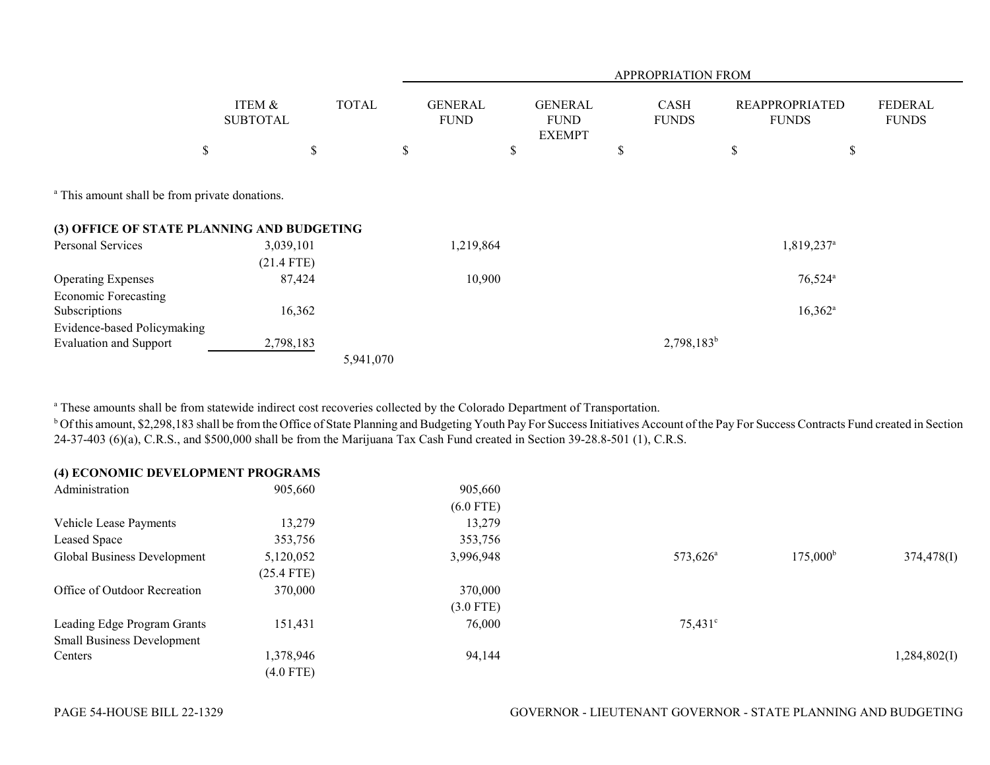|                                                           |                           |              | APPROPRIATION FROM            |                                                |    |                             |                                       |                                |  |  |  |
|-----------------------------------------------------------|---------------------------|--------------|-------------------------------|------------------------------------------------|----|-----------------------------|---------------------------------------|--------------------------------|--|--|--|
|                                                           | ITEM &<br><b>SUBTOTAL</b> | <b>TOTAL</b> | <b>GENERAL</b><br><b>FUND</b> | <b>GENERAL</b><br><b>FUND</b><br><b>EXEMPT</b> |    | <b>CASH</b><br><b>FUNDS</b> | <b>REAPPROPRIATED</b><br><b>FUNDS</b> | <b>FEDERAL</b><br><b>FUNDS</b> |  |  |  |
|                                                           | \$                        | \$           | \$                            | \$                                             | \$ |                             | \$                                    | \$                             |  |  |  |
| <sup>a</sup> This amount shall be from private donations. |                           |              |                               |                                                |    |                             |                                       |                                |  |  |  |
| (3) OFFICE OF STATE PLANNING AND BUDGETING                |                           |              |                               |                                                |    |                             |                                       |                                |  |  |  |
| Personal Services                                         | 3,039,101                 |              | 1,219,864                     |                                                |    |                             | 1,819,237 <sup>a</sup>                |                                |  |  |  |
|                                                           | $(21.4$ FTE)              |              |                               |                                                |    |                             |                                       |                                |  |  |  |
| <b>Operating Expenses</b>                                 | 87,424                    |              | 10,900                        |                                                |    |                             | $76,524$ <sup>a</sup>                 |                                |  |  |  |
| <b>Economic Forecasting</b>                               |                           |              |                               |                                                |    |                             |                                       |                                |  |  |  |
| Subscriptions                                             | 16,362                    |              |                               |                                                |    |                             | $16,362^a$                            |                                |  |  |  |
| Evidence-based Policymaking                               |                           |              |                               |                                                |    |                             |                                       |                                |  |  |  |
| <b>Evaluation and Support</b>                             | 2,798,183                 |              |                               |                                                |    | $2,798,183^b$               |                                       |                                |  |  |  |
|                                                           |                           | 5,941,070    |                               |                                                |    |                             |                                       |                                |  |  |  |

<sup>a</sup> These amounts shall be from statewide indirect cost recoveries collected by the Colorado Department of Transportation.

<sup>b</sup> Of this amount, \$2,298,183 shall be from the Office of State Planning and Budgeting Youth Pay For Success Initiatives Account of the Pay For Success Contracts Fund created in Section 24-37-403 (6)(a), C.R.S., and \$500,000 shall be from the Marijuana Tax Cash Fund created in Section 39-28.8-501 (1), C.R.S.

| (4) ECONOMIC DEVELOPMENT PROGRAMS |              |             |                      |                   |              |
|-----------------------------------|--------------|-------------|----------------------|-------------------|--------------|
| Administration                    | 905,660      | 905,660     |                      |                   |              |
|                                   |              | $(6.0$ FTE) |                      |                   |              |
| Vehicle Lease Payments            | 13,279       | 13,279      |                      |                   |              |
| Leased Space                      | 353,756      | 353,756     |                      |                   |              |
| Global Business Development       | 5,120,052    | 3,996,948   | 573,626 <sup>a</sup> | $175,000^{\rm b}$ | 374,478(I)   |
|                                   | $(25.4$ FTE) |             |                      |                   |              |
| Office of Outdoor Recreation      | 370,000      | 370,000     |                      |                   |              |
|                                   |              | $(3.0$ FTE) |                      |                   |              |
| Leading Edge Program Grants       | 151,431      | 76,000      | $75,431^{\circ}$     |                   |              |
| <b>Small Business Development</b> |              |             |                      |                   |              |
| Centers                           | 1,378,946    | 94,144      |                      |                   | 1,284,802(I) |
|                                   | $(4.0$ FTE)  |             |                      |                   |              |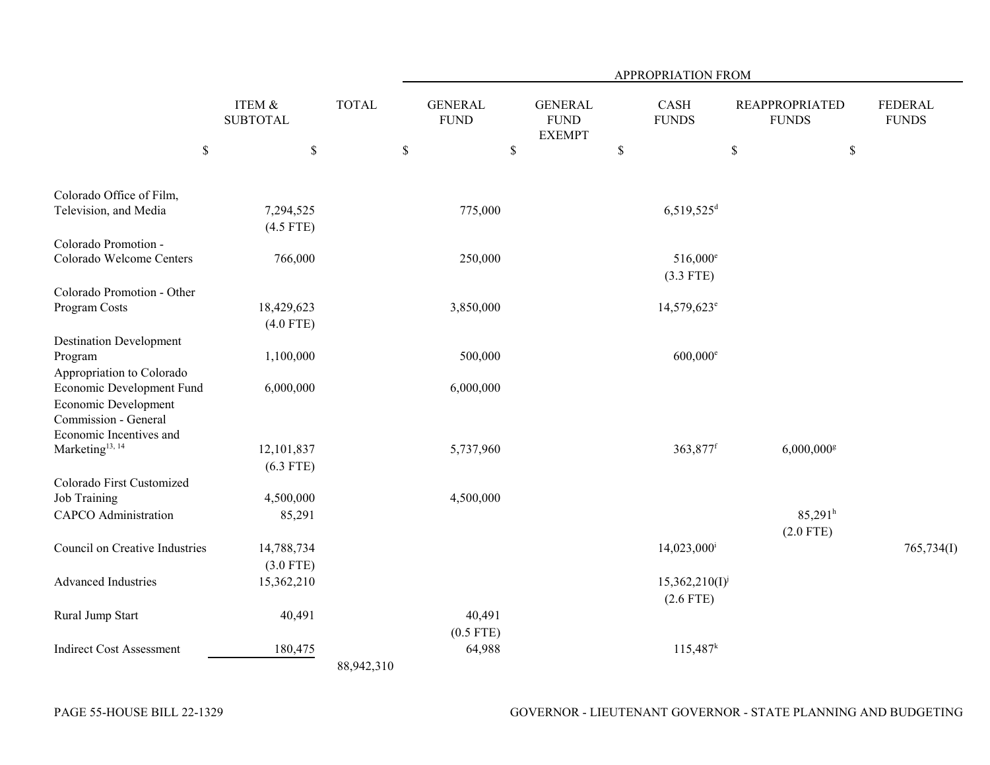|                                                                         |                           |              | APPROPRIATION FROM            |                                                |                                    |                                       |                                |  |  |  |  |
|-------------------------------------------------------------------------|---------------------------|--------------|-------------------------------|------------------------------------------------|------------------------------------|---------------------------------------|--------------------------------|--|--|--|--|
|                                                                         | ITEM &<br><b>SUBTOTAL</b> | <b>TOTAL</b> | <b>GENERAL</b><br><b>FUND</b> | <b>GENERAL</b><br><b>FUND</b><br><b>EXEMPT</b> | CASH<br><b>FUNDS</b>               | <b>REAPPROPRIATED</b><br><b>FUNDS</b> | <b>FEDERAL</b><br><b>FUNDS</b> |  |  |  |  |
| $\mathbb{S}$                                                            | \$                        |              | \$                            | $\mathbb S$                                    | $\mathbb S$                        | $\mathbb{S}$                          | $\$$                           |  |  |  |  |
| Colorado Office of Film,                                                |                           |              |                               |                                                |                                    |                                       |                                |  |  |  |  |
| Television, and Media                                                   | 7,294,525<br>$(4.5$ FTE)  |              | 775,000                       |                                                | $6,519,525$ <sup>d</sup>           |                                       |                                |  |  |  |  |
| Colorado Promotion -                                                    |                           |              |                               |                                                |                                    |                                       |                                |  |  |  |  |
| Colorado Welcome Centers                                                | 766,000                   |              | 250,000                       |                                                | $516,000^e$<br>$(3.3$ FTE)         |                                       |                                |  |  |  |  |
| Colorado Promotion - Other<br>Program Costs                             | 18,429,623<br>$(4.0$ FTE) |              | 3,850,000                     |                                                | 14,579,623 <sup>e</sup>            |                                       |                                |  |  |  |  |
| <b>Destination Development</b>                                          |                           |              |                               |                                                |                                    |                                       |                                |  |  |  |  |
| Program<br>Appropriation to Colorado                                    | 1,100,000                 |              | 500,000                       |                                                | $600,000$ <sup>e</sup>             |                                       |                                |  |  |  |  |
| Economic Development Fund                                               | 6,000,000                 |              | 6,000,000                     |                                                |                                    |                                       |                                |  |  |  |  |
| Economic Development<br>Commission - General<br>Economic Incentives and |                           |              |                               |                                                |                                    |                                       |                                |  |  |  |  |
| Marketing <sup>13, 14</sup>                                             | 12,101,837<br>$(6.3$ FTE) |              | 5,737,960                     |                                                | 363,877 <sup>f</sup>               | $6,000,000$ <sup>g</sup>              |                                |  |  |  |  |
| Colorado First Customized                                               |                           |              |                               |                                                |                                    |                                       |                                |  |  |  |  |
| Job Training                                                            | 4,500,000                 |              | 4,500,000                     |                                                |                                    |                                       |                                |  |  |  |  |
| <b>CAPCO</b> Administration                                             | 85,291                    |              |                               |                                                |                                    | $85,291$ <sup>h</sup><br>$(2.0$ FTE)  |                                |  |  |  |  |
| Council on Creative Industries                                          | 14,788,734<br>$(3.0$ FTE) |              |                               |                                                | $14,023,000$ <sup>i</sup>          |                                       | 765,734(I)                     |  |  |  |  |
| <b>Advanced Industries</b>                                              | 15,362,210                |              |                               |                                                | $15,362,210(I)^{j}$<br>$(2.6$ FTE) |                                       |                                |  |  |  |  |
| Rural Jump Start                                                        | 40,491                    |              | 40,491                        |                                                |                                    |                                       |                                |  |  |  |  |
|                                                                         |                           |              | $(0.5$ FTE)                   |                                                |                                    |                                       |                                |  |  |  |  |
| <b>Indirect Cost Assessment</b>                                         | 180,475                   | 88,942,310   | 64,988                        |                                                | $115,487^k$                        |                                       |                                |  |  |  |  |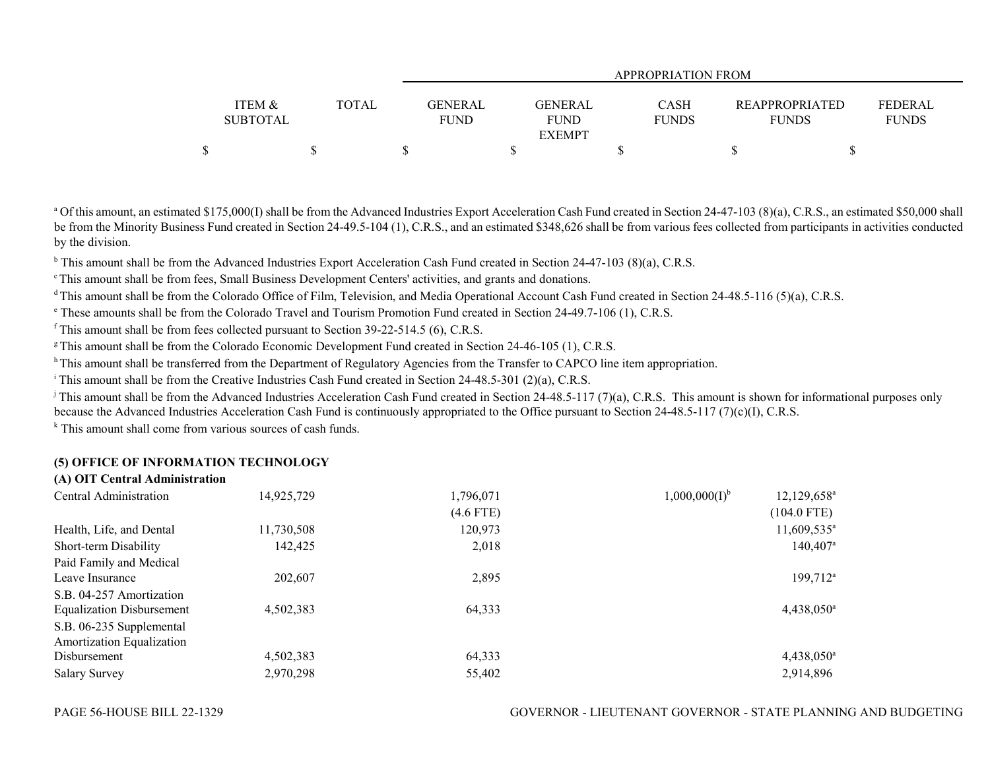|                   |              |             | APPROPRIATION FROM |              |                       |                |  |  |  |  |  |  |
|-------------------|--------------|-------------|--------------------|--------------|-----------------------|----------------|--|--|--|--|--|--|
|                   |              |             |                    |              |                       |                |  |  |  |  |  |  |
| <b>ITEM &amp;</b> | <b>TOTAL</b> | GENERAL     | <b>GENERAL</b>     | CASH         | <b>REAPPROPRIATED</b> | <b>FEDERAL</b> |  |  |  |  |  |  |
| <b>SUBTOTAL</b>   |              | <b>FUND</b> | <b>FUND</b>        | <b>FUNDS</b> | <b>FUNDS</b>          | <b>FUNDS</b>   |  |  |  |  |  |  |
|                   |              |             | <b>EXEMPT</b>      |              |                       |                |  |  |  |  |  |  |
| Φ                 |              |             |                    |              |                       |                |  |  |  |  |  |  |

<sup>a</sup> Of this amount, an estimated \$175,000(I) shall be from the Advanced Industries Export Acceleration Cash Fund created in Section 24-47-103 (8)(a), C.R.S., an estimated \$50,000 shall be from the Minority Business Fund created in Section 24-49.5-104 (1), C.R.S., and an estimated \$348,626 shall be from various fees collected from participants in activities conducted by the division.

<sup>b</sup> This amount shall be from the Advanced Industries Export Acceleration Cash Fund created in Section 24-47-103 (8)(a), C.R.S.

<sup>c</sup> This amount shall be from fees, Small Business Development Centers' activities, and grants and donations.

<sup>d</sup> This amount shall be from the Colorado Office of Film, Television, and Media Operational Account Cash Fund created in Section 24-48.5-116 (5)(a), C.R.S.

e These amounts shall be from the Colorado Travel and Tourism Promotion Fund created in Section 24-49.7-106 (1), C.R.S.

 $f$  This amount shall be from fees collected pursuant to Section 39-22-514.5 (6), C.R.S.

<sup>g</sup> This amount shall be from the Colorado Economic Development Fund created in Section 24-46-105 (1), C.R.S.

<sup>h</sup> This amount shall be transferred from the Department of Regulatory Agencies from the Transfer to CAPCO line item appropriation.

<sup>i</sup> This amount shall be from the Creative Industries Cash Fund created in Section 24-48.5-301 (2)(a), C.R.S.

<sup>j</sup> This amount shall be from the Advanced Industries Acceleration Cash Fund created in Section 24-48.5-117 (7)(a), C.R.S. This amount is shown for informational purposes only because the Advanced Industries Acceleration Cash Fund is continuously appropriated to the Office pursuant to Section 24-48.5-117 (7)(c)(I), C.R.S.

<sup>k</sup> This amount shall come from various sources of cash funds.

## **(5) OFFICE OF INFORMATION TECHNOLOGY**

## **(A) OIT Central Administration**

| Central Administration           | 14,925,729 | 1,796,071   | 1,000,000(1) <sup>b</sup> | $12,129,658^{\circ}$   |
|----------------------------------|------------|-------------|---------------------------|------------------------|
|                                  |            | $(4.6$ FTE) |                           | $(104.0$ FTE)          |
| Health, Life, and Dental         | 11,730,508 | 120,973     |                           | $11,609,535^{\circ}$   |
| Short-term Disability            | 142,425    | 2,018       |                           | $140,407$ <sup>a</sup> |
| Paid Family and Medical          |            |             |                           |                        |
| Leave Insurance                  | 202,607    | 2,895       |                           | 199,712 <sup>a</sup>   |
| S.B. 04-257 Amortization         |            |             |                           |                        |
| <b>Equalization Disbursement</b> | 4,502,383  | 64,333      |                           | 4,438,050 <sup>a</sup> |
| S.B. 06-235 Supplemental         |            |             |                           |                        |
| <b>Amortization Equalization</b> |            |             |                           |                        |
| Disbursement                     | 4,502,383  | 64,333      |                           | $4,438,050^{\circ}$    |
| <b>Salary Survey</b>             | 2,970,298  | 55,402      |                           | 2.914.896              |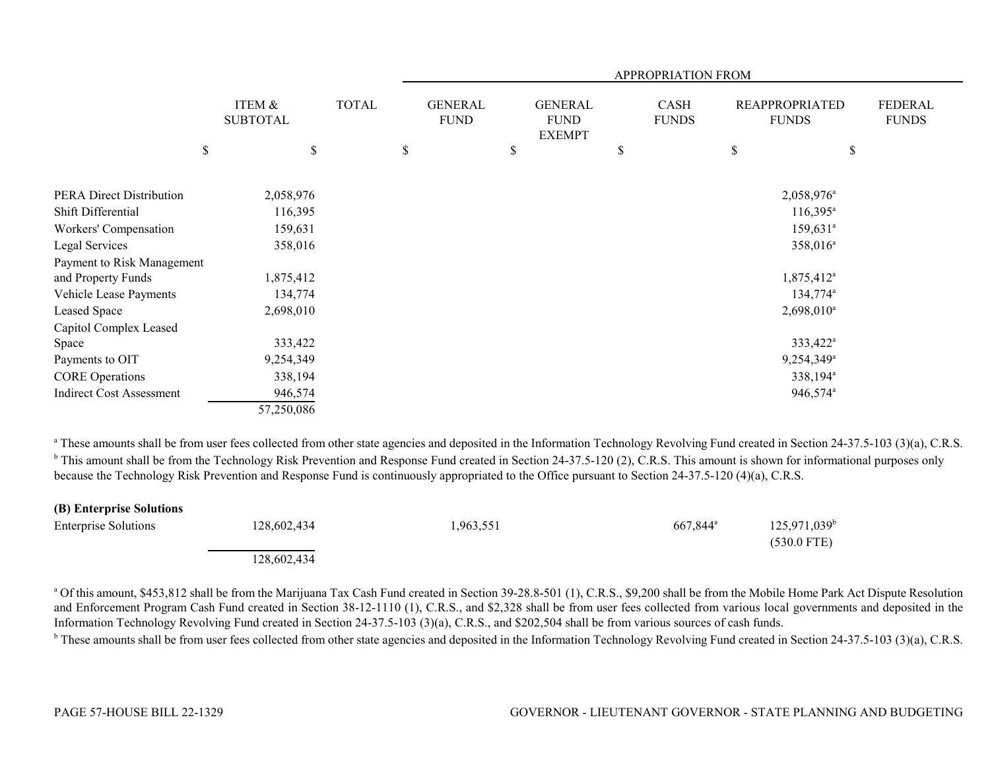|                                 |              |                 |              | APPROPRIATION FROM            |    |                                                |    |                      |    |                                       |                                |  |
|---------------------------------|--------------|-----------------|--------------|-------------------------------|----|------------------------------------------------|----|----------------------|----|---------------------------------------|--------------------------------|--|
|                                 | ITEM &       | <b>SUBTOTAL</b> | <b>TOTAL</b> | <b>GENERAL</b><br><b>FUND</b> |    | <b>GENERAL</b><br><b>FUND</b><br><b>EXEMPT</b> |    | CASH<br><b>FUNDS</b> |    | <b>REAPPROPRIATED</b><br><b>FUNDS</b> | <b>FEDERAL</b><br><b>FUNDS</b> |  |
|                                 | $\mathbb{S}$ | $\mathbb S$     |              | \$                            | \$ |                                                | \$ |                      | \$ | \$                                    |                                |  |
| PERA Direct Distribution        |              | 2,058,976       |              |                               |    |                                                |    |                      |    | 2,058,976 <sup>a</sup>                |                                |  |
| Shift Differential              |              | 116,395         |              |                               |    |                                                |    |                      |    | $116,395^{\circ}$                     |                                |  |
| Workers' Compensation           |              | 159,631         |              |                               |    |                                                |    |                      |    | $159,631^a$                           |                                |  |
| Legal Services                  |              | 358,016         |              |                               |    |                                                |    |                      |    | 358,016 <sup>a</sup>                  |                                |  |
| Payment to Risk Management      |              |                 |              |                               |    |                                                |    |                      |    |                                       |                                |  |
| and Property Funds              |              | 1,875,412       |              |                               |    |                                                |    |                      |    | 1,875,412 <sup>a</sup>                |                                |  |
| Vehicle Lease Payments          |              | 134,774         |              |                               |    |                                                |    |                      |    | 134,774 <sup>a</sup>                  |                                |  |
| Leased Space                    |              | 2,698,010       |              |                               |    |                                                |    |                      |    | $2,698,010^a$                         |                                |  |
| Capitol Complex Leased          |              |                 |              |                               |    |                                                |    |                      |    |                                       |                                |  |
| Space                           |              | 333,422         |              |                               |    |                                                |    |                      |    | 333,422 <sup>a</sup>                  |                                |  |
| Payments to OIT                 |              | 9,254,349       |              |                               |    |                                                |    |                      |    | 9,254,349 <sup>a</sup>                |                                |  |
| <b>CORE</b> Operations          |              | 338,194         |              |                               |    |                                                |    |                      |    | 338,194 <sup>a</sup>                  |                                |  |
| <b>Indirect Cost Assessment</b> |              | 946,574         |              |                               |    |                                                |    |                      |    | 946,574 <sup>a</sup>                  |                                |  |
|                                 |              | 57,250,086      |              |                               |    |                                                |    |                      |    |                                       |                                |  |

<sup>a</sup> These amounts shall be from user fees collected from other state agencies and deposited in the Information Technology Revolving Fund created in Section 24-37.5-103 (3)(a), C.R.S. <sup>b</sup> This amount shall be from the Technology Risk Prevention and Response Fund created in Section 24-37.5-120 (2), C.R.S. This amount is shown for informational purposes only because the Technology Risk Prevention and Response Fund is continuously appropriated to the Office pursuant to Section 24-37.5-120 (4)(a), C.R.S.

| (B) Enterprise Solutions    |             |          |                   |                                        |
|-----------------------------|-------------|----------|-------------------|----------------------------------------|
| <b>Enterprise Solutions</b> | 128,602,434 | ,963,551 | $667.844^{\circ}$ | $125,971,039^{\circ}$<br>$(530.0$ FTE) |
|                             | 128,602,434 |          |                   |                                        |

<sup>a</sup> Of this amount, \$453,812 shall be from the Marijuana Tax Cash Fund created in Section 39-28.8-501 (1), C.R.S., \$9,200 shall be from the Mobile Home Park Act Dispute Resolution and Enforcement Program Cash Fund created in Section 38-12-1110 (1), C.R.S., and \$2,328 shall be from user fees collected from various local governments and deposited in the Information Technology Revolving Fund created in Section 24-37.5-103 (3)(a), C.R.S., and \$202,504 shall be from various sources of cash funds.

<sup>b</sup> These amounts shall be from user fees collected from other state agencies and deposited in the Information Technology Revolving Fund created in Section 24-37.5-103 (3)(a), C.R.S.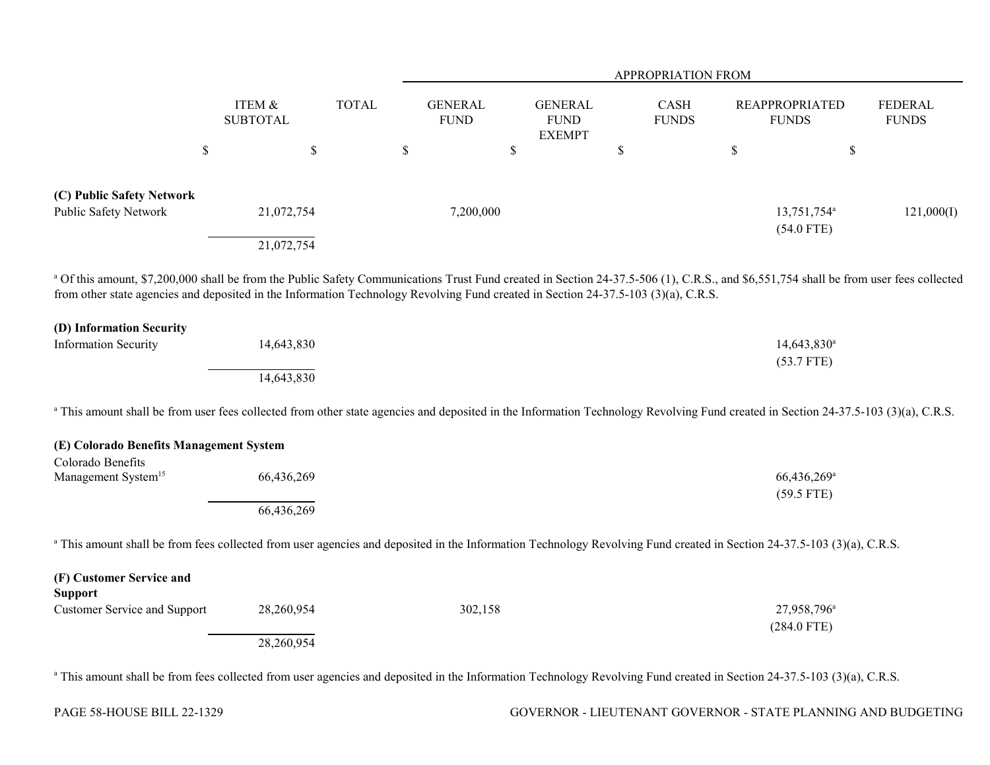|                                                                                                                                                                                                                                                                                                                             |                           |              | <b>APPROPRIATION FROM</b>     |    |                                                |             |                      |             |                                          |                                |
|-----------------------------------------------------------------------------------------------------------------------------------------------------------------------------------------------------------------------------------------------------------------------------------------------------------------------------|---------------------------|--------------|-------------------------------|----|------------------------------------------------|-------------|----------------------|-------------|------------------------------------------|--------------------------------|
|                                                                                                                                                                                                                                                                                                                             | ITEM &<br><b>SUBTOTAL</b> | <b>TOTAL</b> | <b>GENERAL</b><br><b>FUND</b> |    | <b>GENERAL</b><br><b>FUND</b><br><b>EXEMPT</b> |             | CASH<br><b>FUNDS</b> |             | <b>REAPPROPRIATED</b><br><b>FUNDS</b>    | <b>FEDERAL</b><br><b>FUNDS</b> |
| \$                                                                                                                                                                                                                                                                                                                          | $\mathbb S$               |              | $\$$                          | \$ |                                                | $\mathbb S$ |                      | $\mathbb S$ | \$                                       |                                |
| (C) Public Safety Network<br>Public Safety Network                                                                                                                                                                                                                                                                          | 21,072,754<br>21,072,754  |              | 7,200,000                     |    |                                                |             |                      |             | 13,751,754 <sup>a</sup><br>$(54.0$ FTE)  | 121,000(I)                     |
| a Of this amount, \$7,200,000 shall be from the Public Safety Communications Trust Fund created in Section 24-37.5-506 (1), C.R.S., and \$6,551,754 shall be from user fees collected<br>from other state agencies and deposited in the Information Technology Revolving Fund created in Section 24-37.5-103 (3)(a), C.R.S. |                           |              |                               |    |                                                |             |                      |             |                                          |                                |
| (D) Information Security<br><b>Information Security</b>                                                                                                                                                                                                                                                                     | 14,643,830<br>14,643,830  |              |                               |    |                                                |             |                      |             | $14,643,830^a$<br>$(53.7$ FTE)           |                                |
| <sup>a</sup> This amount shall be from user fees collected from other state agencies and deposited in the Information Technology Revolving Fund created in Section 24-37.5-103 (3)(a), C.R.S.                                                                                                                               |                           |              |                               |    |                                                |             |                      |             |                                          |                                |
| (E) Colorado Benefits Management System<br>Colorado Benefits                                                                                                                                                                                                                                                                |                           |              |                               |    |                                                |             |                      |             |                                          |                                |
| Management System <sup>15</sup>                                                                                                                                                                                                                                                                                             | 66,436,269<br>66,436,269  |              |                               |    |                                                |             |                      |             | 66,436,269 <sup>a</sup><br>$(59.5$ FTE)  |                                |
| <sup>a</sup> This amount shall be from fees collected from user agencies and deposited in the Information Technology Revolving Fund created in Section 24-37.5-103 (3)(a), C.R.S.                                                                                                                                           |                           |              |                               |    |                                                |             |                      |             |                                          |                                |
| (F) Customer Service and<br><b>Support</b><br><b>Customer Service and Support</b>                                                                                                                                                                                                                                           | 28,260,954<br>28,260,954  |              | 302,158                       |    |                                                |             |                      |             | 27,958,796 <sup>a</sup><br>$(284.0$ FTE) |                                |

<sup>a</sup> This amount shall be from fees collected from user agencies and deposited in the Information Technology Revolving Fund created in Section 24-37.5-103 (3)(a), C.R.S.